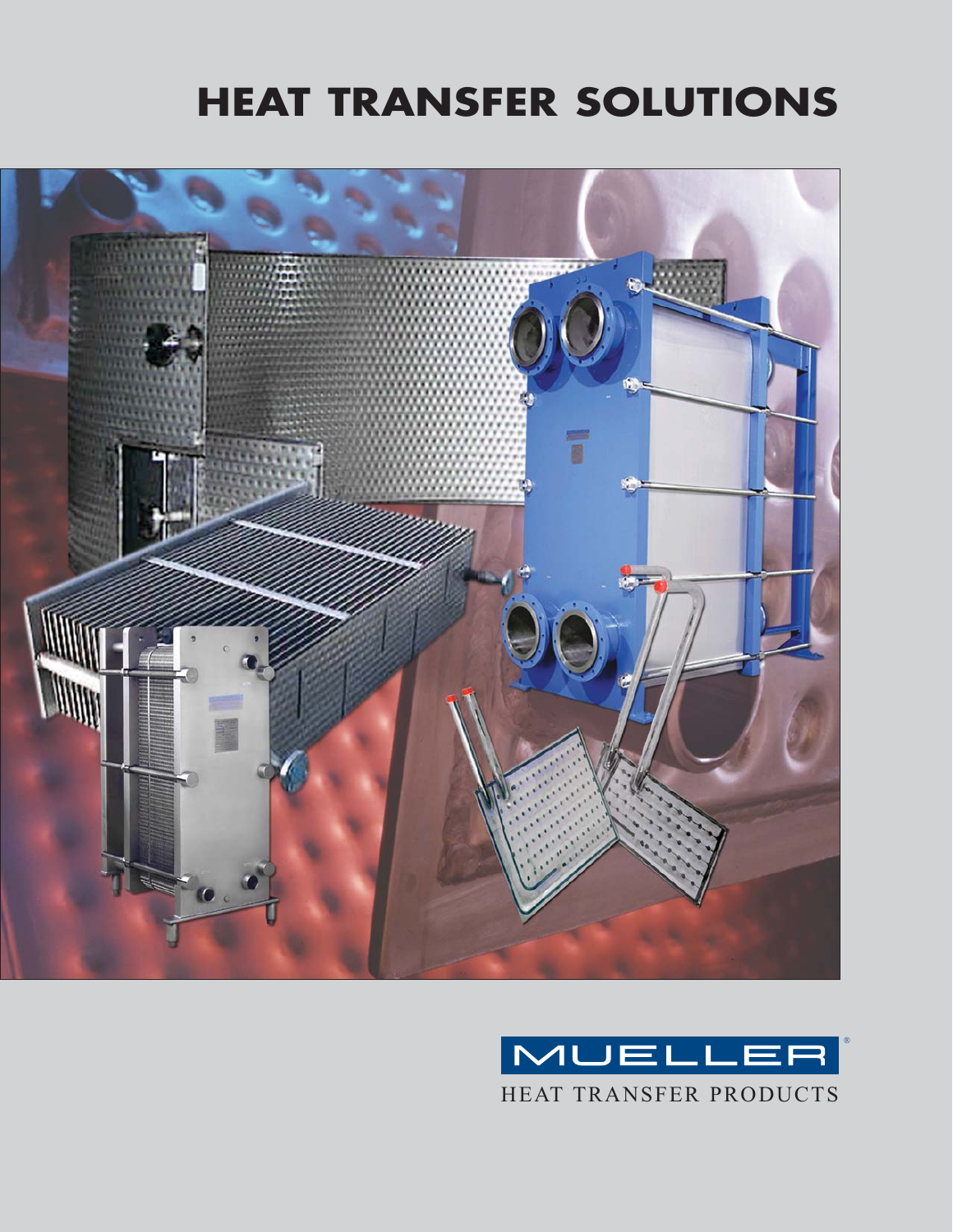# **HEAT TRANSFER SOLUTIONS**



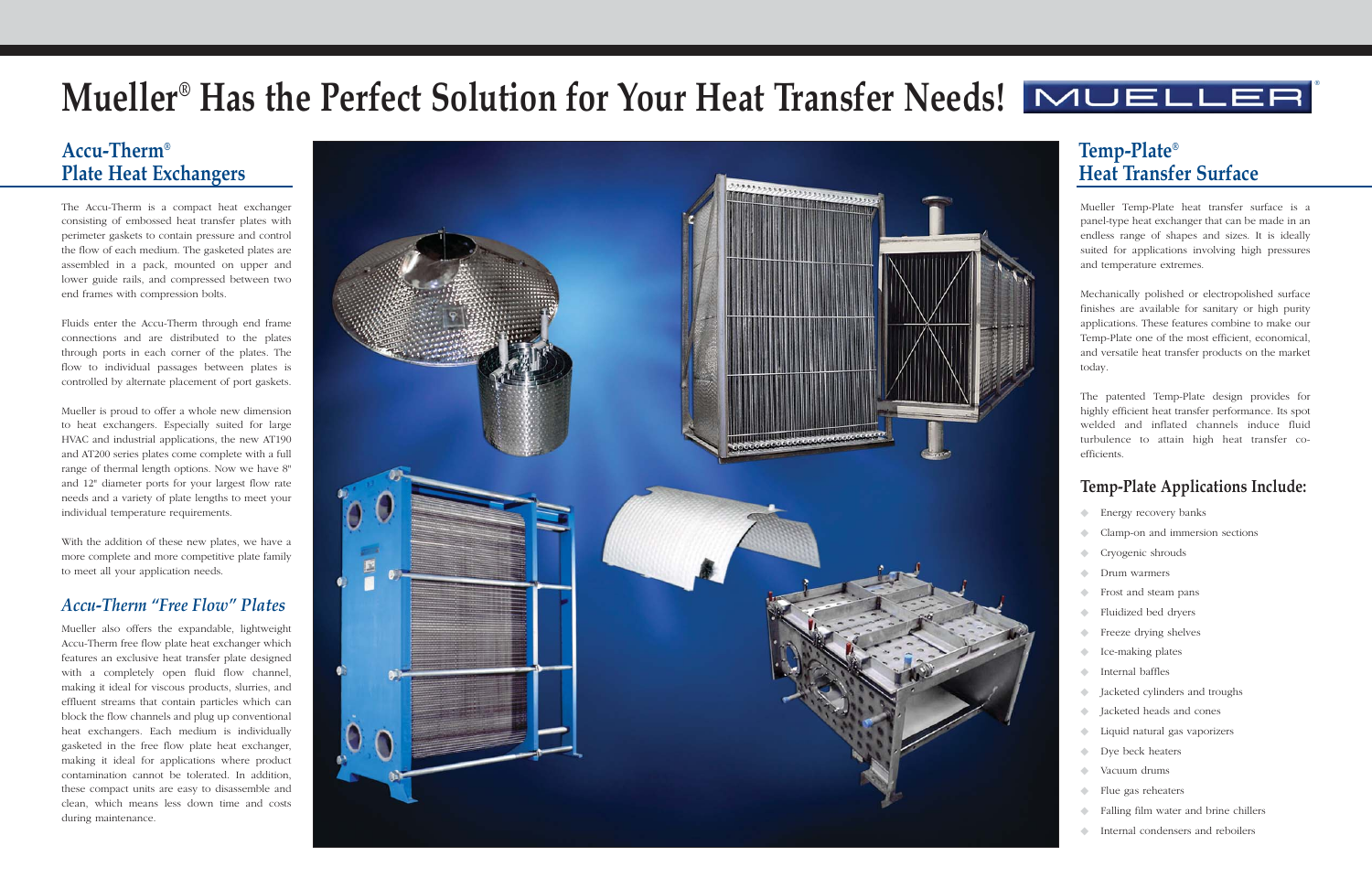The Accu-Therm is a compact heat exchanger consisting of embossed heat transfer plates with perimeter gaskets to contain pressure and control the flow of each medium. The gasketed plates are assembled in a pack, mounted on upper and lower guide rails, and compressed between two end frames with compression bolts.

Fluids enter the Accu-Therm through end frame connections and are distributed to the plates through ports in each corner of the plates. The flow to individual passages between plates is controlled by alternate placement of port gaskets.

Mueller is proud to offer a whole new dimension to heat exchangers. Especially suited for large HVAC and industrial applications, the new AT190 and AT200 series plates come complete with a full range of thermal length options. Now we have 8" and 12" diameter ports for your largest flow rate needs and a variety of plate lengths to meet your individual temperature requirements.

With the addition of these new plates, we have a more complete and more competitive plate family to meet all your application needs.

#### *Accu-Therm "Free Flow" Plates*

Mueller also offers the expandable, lightweight Accu-Therm free flow plate heat exchanger which features an exclusive heat transfer plate designed with a completely open fluid flow channel, making it ideal for viscous products, slurries, and effluent streams that contain particles which can block the flow channels and plug up conventional heat exchangers. Each medium is individually gasketed in the free flow plate heat exchanger, making it ideal for applications where product contamination cannot be tolerated. In addition, these compact units are easy to disassemble and clean, which means less down time and costs during maintenance.



- ◆ Energy recovery banks
- ◆ Clamp-on and immersion sections
- ◆ Cryogenic shrouds
- ◆ Drum warmers
- Frost and steam pans
- Fluidized bed dryers
- ◆ Freeze drying shelves
- Ice-making plates
- ◆ Internal baffles
- ◆ Jacketed cylinders and troughs
- ◆ Jacketed heads and cones
- Liquid natural gas vaporizers
- ◆ Dye beck heaters
- ◆ Vacuum drums
- ◆ Flue gas reheaters
- ◆ Falling film water and brine chillers
- ◆ Internal condensers and reboilers

# **Mueller® Has the Perfect Solution for Your Heat Transfer Needs!**

### **Accu-Therm® Plate Heat Exchangers**

Mueller Temp-Plate heat transfer surface is a panel-type heat exchanger that can be made in an endless range of shapes and sizes. It is ideally suited for applications involving high pressures and temperature extremes.

Mechanically polished or electropolished surface finishes are available for sanitary or high purity applications. These features combine to make our Temp-Plate one of the most efficient, economical, and versatile heat transfer products on the market today.

The patented Temp-Plate design provides for highly efficient heat transfer performance. Its spot welded and inflated channels induce fluid turbulence to attain high heat transfer coefficients.

#### **Temp-Plate Applications Include:**

## **Temp-Plate® Heat Transfer Surface**